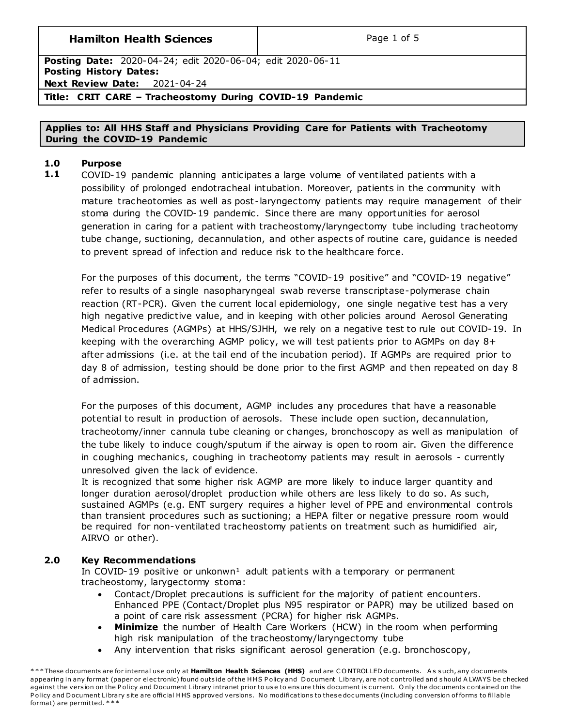## **Hamilton Health Sciences**  $\qquad$  **Page 1 of 5**

**Posting Date:** 2020-04-24; edit 2020-06-04; edit 2020-06-11 **Posting History Dates: Next Review Date:** 2021-04-24

## **Title: CRIT CARE – Tracheostomy During COVID-19 Pandemic**

## **Applies to: All HHS Staff and Physicians Providing Care for Patients with Tracheotomy During the COVID-19 Pandemic**

## **1.0 Purpose**

**1.1** COVID-19 pandemic planning anticipates a large volume of ventilated patients with a possibility of prolonged endotracheal intubation. Moreover, patients in the community with mature tracheotomies as well as post -laryngectomy patients may require management of their stoma during the COVID-19 pandemic. Since there are many opportunities for aerosol generation in caring for a patient with tracheostomy/laryngectomy tube including tracheotomy tube change, suctioning, decannulation, and other aspects of routine care, guidance is needed to prevent spread of infection and reduce risk to the healthcare force.

For the purposes of this document, the terms "COVID-19 positive" and "COVID-19 negative" refer to results of a single nasopharyngeal swab reverse transcriptase-polymerase chain reaction (RT-PCR). Given the current local epidemiology, one single negative test has a very high negative predictive value, and in keeping with other policies around Aerosol Generating Medical Procedures (AGMPs) at HHS/SJHH, we rely on a negative test to rule out COVID-19. In keeping with the overarching AGMP policy, we will test patients prior to AGMPs on day 8+ after admissions (i.e. at the tail end of the incubation period). If AGMPs are required prior to day 8 of admission, testing should be done prior to the first AGMP and then repeated on day 8 of admission.

For the purposes of this document, AGMP includes any procedures that have a reasonable potential to result in production of aerosols. These include open suction, decannulation, tracheotomy/inner cannula tube cleaning or changes, bronchoscopy as well as manipulation of the tube likely to induce cough/sputum if the airway is open to room air. Given the difference in coughing mechanics, coughing in tracheotomy patients may result in aerosols - currently unresolved given the lack of evidence.

It is recognized that some higher risk AGMP are more likely to induce larger quantity and longer duration aerosol/droplet production while others are less likely to do so. As such, sustained AGMPs (e.g. ENT surgery requires a higher level of PPE and environmental controls than transient procedures such as suctioning; a HEPA filter or negative pressure room would be required for non-ventilated tracheostomy patients on treatment such as humidified air, AIRVO or other).

## **2.0 Key Recommendations**

In COVID-19 positive or unkonwn<sup>1</sup> adult patients with a temporary or permanent tracheostomy, larygectormy stoma:

- Contact/Droplet precautions is sufficient for the majority of patient encounters. Enhanced PPE (Contact/Droplet plus N95 respirator or PAPR) may be utilized based on a point of care risk assessment (PCRA) for higher risk AGMPs.
- **Minimize** the number of Health Care Workers (HCW) in the room when performing high risk manipulation of the tracheostomy/laryngectomy tube
- Any intervention that risks significant aerosol generation (e.g. bronchoscopy,

\*\*\* These documents are for internal use only at Hamilton Health Sciences (HHS) and are CONTROLLED documents. As such, any documents appearing in any format (paper or electronic) found outside of the HHS Policy and Document Library, are not controlled and should A LWAYS be checked against the version on the Policy and Document Library intranet prior to use to ensure this document is current. Only the documents contained on the Policy and Document Library site are official HHS approved versions. No modifications to these documents (including conversion of forms to fillable format) are permitted. \* \* \*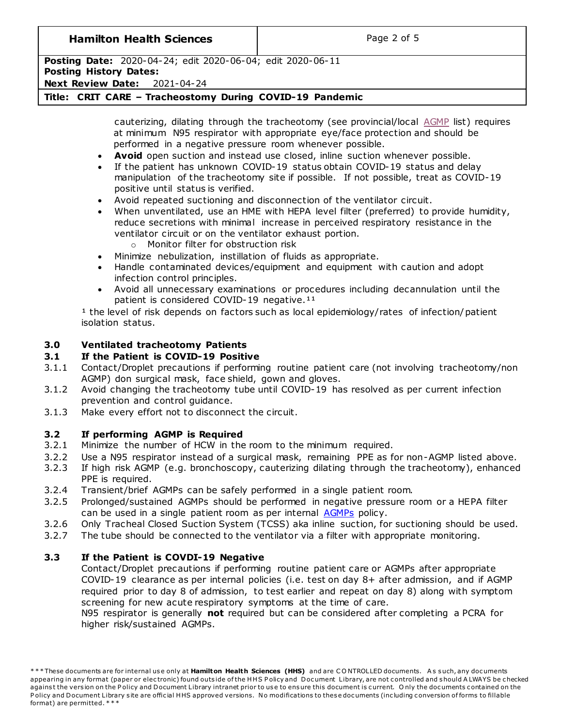## **Hamilton Health Sciences**  $\qquad$  **Page 2 of 5**

# **Posting Date:** 2020-04-24; edit 2020-06-04; edit 2020-06-11

# **Posting History Dates:**

**Next Review Date:** 2021-04-24

## **Title: CRIT CARE – Tracheostomy During COVID-19 Pandemic**

cauterizing, dilating through the tracheotomy (see provincial/local [AGMP](#page-3-0) list) requires at minimum N95 respirator with appropriate eye/face protection and should be performed in a negative pressure room whenever possible.

- **Avoid** open suction and instead use closed, inline suction whenever possible.
- If the patient has unknown COVID-19 status obtain COVID-19 status and delay manipulation of the tracheotomy site if possible. If not possible, treat as COVID-19 positive until status is verified.
- Avoid repeated suctioning and disconnection of the ventilator circuit.
- When unventilated, use an HME with HEPA level filter (preferred) to provide humidity, reduce secretions with minimal increase in perceived respiratory resistance in the ventilator circuit or on the ventilator exhaust portion.
	- o Monitor filter for obstruction risk
- Minimize nebulization, instillation of fluids as appropriate.
- Handle contaminated devices/equipment and equipment with caution and adopt infection control principles.
- Avoid all unnecessary examinations or procedures including decannulation until the patient is considered COVID-19 negative.<sup>11</sup>

 $1$  the level of risk depends on factors such as local epidemiology/rates of infection/patient isolation status.

## **3.0 Ventilated tracheotomy Patients**

## **3.1 If the Patient is COVID-19 Positive**

- 3.1.1 Contact/Droplet precautions if performing routine patient care (not involving tracheotomy/non AGMP) don surgical mask, face shield, gown and gloves.
- 3.1.2 Avoid changing the tracheotomy tube until COVID-19 has resolved as per current infection prevention and control guidance.
- 3.1.3 Make every effort not to disconnect the circuit.

## **3.2 If performing AGMP is Required**

- 3.2.1 Minimize the number of HCW in the room to the minimum required.
- 3.2.2 Use a N95 respirator instead of a surgical mask, remaining PPE as for non-AGMP listed above.
- 3.2.3 If high risk AGMP (e.g. bronchoscopy, cauterizing dilating through the tracheotomy), enhanced PPE is required.
- 3.2.4 Transient/brief AGMPs can be safely performed in a single patient room.
- 3.2.5 Prolonged/sustained AGMPs should be performed in negative pressure room or a HEPA filter can be used in a single patient room as per internal [AGMPs](#page-3-0) policy.
- 3.2.6 Only Tracheal Closed Suction System (TCSS) aka inline suction, for suctioning should be used.
- 3.2.7 The tube should be connected to the ventilator via a filter with appropriate monitoring.

## **3.3 If the Patient is COVDI-19 Negative**

Contact/Droplet precautions if performing routine patient care or AGMPs after appropriate COVID-19 clearance as per internal policies (i.e. test on day 8+ after admission, and if AGMP required prior to day 8 of admission, to test earlier and repeat on day 8) along with symptom screening for new acute respiratory symptoms at the time of care.

N95 respirator is generally **not** required but can be considered after completing a PCRA for higher risk/sustained AGMPs.

<sup>\* \* \*</sup> These documents are for internal use only at **Hamilton Health Sciences (HHS)** and are CONTROLLED documents. As such, any documents appearing in any format (paper or electronic) found outside of the HHS Policy and Document Library, are not controlled and should A LWAYS be checked against the version on the Policy and Document Library intranet prior to use to ensure this document is current. Only the documents contained on the Policy and Document Library site are official HHS approved versions. No modifications to these documents (including conversion of forms to fillable format) are permitted. \* \* \*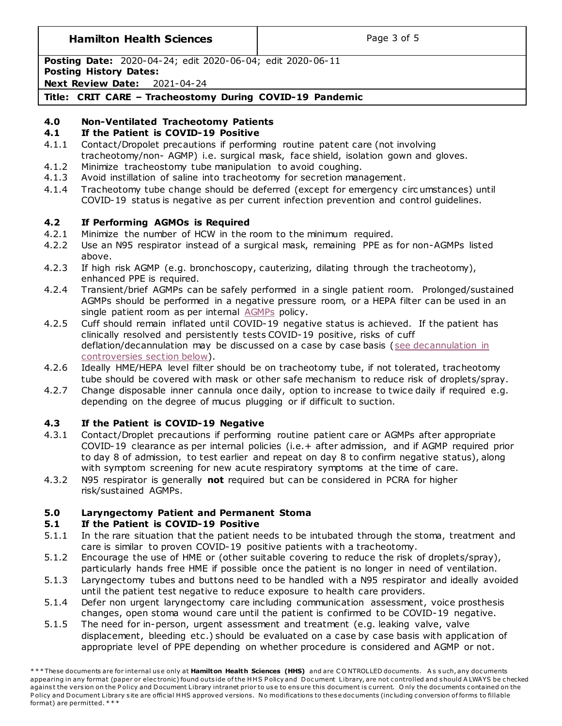## **Hamilton Health Sciences**  $\qquad$  |  $\qquad$  Page 3 of 5

**Posting Date:** 2020-04-24; edit 2020-06-04; edit 2020-06-11

**Posting History Dates:**

**Next Review Date:** 2021-04-24

**Title: CRIT CARE – Tracheostomy During COVID-19 Pandemic**

# **4.0 Non-Ventilated Tracheotomy Patients**

## **4.1 If the Patient is COVID-19 Positive**

- 4.1.1 Contact/Dropolet precautions if performing routine patent care (not involving tracheotomy/non- AGMP) i.e. surgical mask, face shield, isolation gown and gloves.
- 4.1.2 Minimize tracheostomy tube manipulation to avoid coughing.
- 4.1.3 Avoid instillation of saline into tracheotomy for secretion management.
- 4.1.4 Tracheotomy tube change should be deferred (except for emergency circ umstances) until COVID-19 status is negative as per current infection prevention and control guidelines.

# **4.2 If Performing AGMOs is Required**

- 4.2.1 Minimize the number of HCW in the room to the minimum required.
- 4.2.2 Use an N95 respirator instead of a surgical mask, remaining PPE as for non-AGMPs listed above.
- 4.2.3 If high risk AGMP (e.g. bronchoscopy, cauterizing, dilating through the tracheotomy), enhanced PPE is required.
- 4.2.4 Transient/brief AGMPs can be safely performed in a single patient room. Prolonged/sustained AGMPs should be performed in a negative pressure room, or a HEPA filter can be used in an single patient room as per internal [AGMPs](#page-3-0) policy.
- 4.2.5 Cuff should remain inflated until COVID-19 negative status is achieved. If the patient has clinically resolved and persistently tests COVID-19 positive, risks of cuff deflation/decannulation may be discussed on a case by case basis [\(see decannulation in](#page-3-1)  [controversies section below\)](#page-3-1).
- 4.2.6 Ideally HME/HEPA level filter should be on tracheotomy tube, if not tolerated, tracheotomy tube should be covered with mask or other safe mechanism to reduce risk of droplets/spray.
- 4.2.7 Change disposable inner cannula once daily, option to increase to twice daily if required e.g. depending on the degree of mucus plugging or if difficult to suction.

# **4.3 If the Patient is COVID-19 Negative**

- 4.3.1 Contact/Droplet precautions if performing routine patient care or AGMPs after appropriate COVID-19 clearance as per internal policies (i.e.+ after admission, and if AGMP required prior to day 8 of admission, to test earlier and repeat on day 8 to confirm negative status), along with symptom screening for new acute respiratory symptoms at the time of care.
- 4.3.2 N95 respirator is generally **not** required but can be considered in PCRA for higher risk/sustained AGMPs.

## **5.0 Laryngectomy Patient and Permanent Stoma**

## **5.1 If the Patient is COVID-19 Positive**

- 5.1.1 In the rare situation that the patient needs to be intubated through the stoma, treatment and care is similar to proven COVID-19 positive patients with a tracheotomy.
- 5.1.2 Encourage the use of HME or (other suitable covering to reduce the risk of droplets/spray), particularly hands free HME if possible once the patient is no longer in need of ventilation.
- 5.1.3 Laryngectomy tubes and buttons need to be handled with a N95 respirator and ideally avoided until the patient test negative to reduce exposure to health care providers.
- 5.1.4 Defer non urgent laryngectomy care including communication assessment, voice prosthesis changes, open stoma wound care until the patient is confirmed to be COVID-19 negative.
- 5.1.5 The need for in-person, urgent assessment and treatment (e.g. leaking valve, valve displacement, bleeding etc.) should be evaluated on a case by case basis with application of appropriate level of PPE depending on whether procedure is considered and AGMP or not.

<sup>\*\*\*</sup> These documents are for internal use only at Hamilton Health Sciences (HHS) and are CONTROLLED documents. As such, any documents appearing in any format (paper or electronic) found outside of the HHS Policy and Document Library, are not controlled and should A LWAYS be checked against the version on the Policy and Document Library intranet prior to use to ensure this document is current. Only the documents contained on the Policy and Document Library site are official HHS approved versions. No modifications to these documents (including conversion of forms to fillable format) are permitted. \* \* \*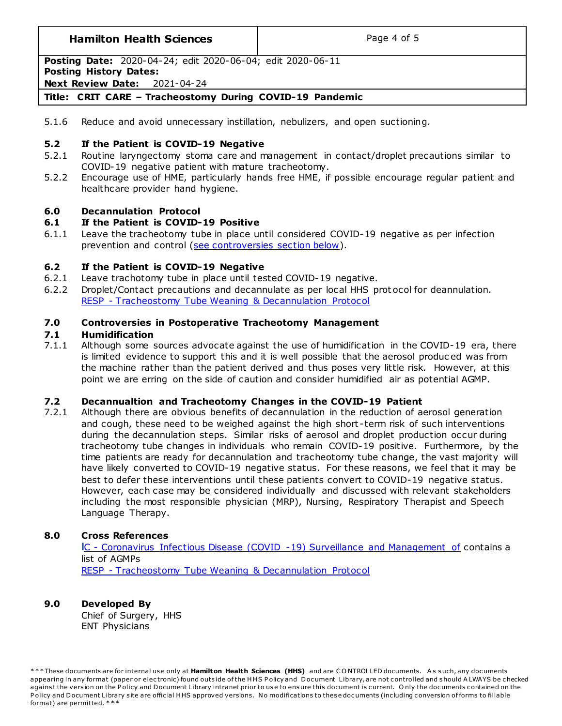## **Hamilton Health Sciences**  $\qquad$  **Page 4 of 5**

**Posting Date:** 2020-04-24; edit 2020-06-04; edit 2020-06-11

## **Posting History Dates:**

**Next Review Date:** 2021-04-24

## **Title: CRIT CARE – Tracheostomy During COVID-19 Pandemic**

5.1.6 Reduce and avoid unnecessary instillation, nebulizers, and open suctioning.

## **5.2 If the Patient is COVID-19 Negative**

- 5.2.1 Routine laryngectomy stoma care and management in contact/droplet precautions similar to COVID-19 negative patient with mature tracheotomy.
- 5.2.2 Encourage use of HME, particularly hands free HME, if possible encourage regular patient and healthcare provider hand hygiene.

## **6.0 Decannulation Protocol**

## **6.1 If the Patient is COVID-19 Positive**

6.1.1 Leave the tracheotomy tube in place until considered COVID-19 negative as per infection prevention and control [\(see controversies section below\)](#page-3-1).

## **6.2 If the Patient is COVID-19 Negative**

- 6.2.1 Leave trachotomy tube in place until tested COVID-19 negative.
- 6.2.2 Droplet/Contact precautions and decannulate as per local HHS prot ocol for deannulation. RESP - [Tracheostomy Tube Weaning & Decannulation Protocol](http://policy.hhsc.ca/Site_Published/hhsc/document_render.aspx?documentRender.IdType=6&documentRender.GenericField=&documentRender.Id=91496)

## **7.0 Controversies in Postoperative Tracheotomy Management**

## **7.1 Humidification**

7.1.1 Although some sources advocate against the use of humidification in the COVID-19 era, there is limited evidence to support this and it is well possible that the aerosol produc ed was from the machine rather than the patient derived and thus poses very little risk. However, at this point we are erring on the side of caution and consider humidified air as potential AGMP.

## <span id="page-3-1"></span>**7.2 Decannualtion and Tracheotomy Changes in the COVID-19 Patient**

7.2.1 Although there are obvious benefits of decannulation in the reduction of aerosol generation and cough, these need to be weighed against the high short -term risk of such interventions during the decannulation steps. Similar risks of aerosol and droplet production occur during tracheotomy tube changes in individuals who remain COVID-19 positive. Furthermore, by the time patients are ready for decannulation and tracheotomy tube change, the vast majority will have likely converted to COVID-19 negative status. For these reasons, we feel that it may be best to defer these interventions until these patients convert to COVID-19 negative status. However, each case may be considered individually and discussed with relevant stakeholders including the most responsible physician (MRP), Nursing, Respiratory Therapist and Speech Language Therapy.

## **8.0 Cross References**

<span id="page-3-0"></span>**I**C - [Coronavirus Infectious Disease \(COVID -19\) Surveillance and Management of](http://policy.hhsc.ca/Site_Published/hhsc/document_render.aspx?documentRender.IdType=6&documentRender.GenericField=&documentRender.Id=100206) contains a list of AGMPs RESP - [Tracheostomy Tube Weaning & Decannulation Protocol](http://policy.hhsc.ca/Site_Published/hhsc/document_render.aspx?documentRender.IdType=6&documentRender.GenericField=&documentRender.Id=91496)

## **9.0 Developed By**

Chief of Surgery, HHS ENT Physicians

\* \* \* These documents are for internal use only at **Hamilton Health Sciences (HHS)** and are CONTROLLED documents. As such, any documents appearing in any format (paper or electronic) found outside of the HHS Policy and Document Library, are not controlled and should A LWAYS be checked against the version on the Policy and Document Library intranet prior to use to ensure this document is current. Only the documents contained on the Policy and Document Library site are official HHS approved versions. No modifications to these documents (including conversion of forms to fillable format) are permitted. \* \* \*